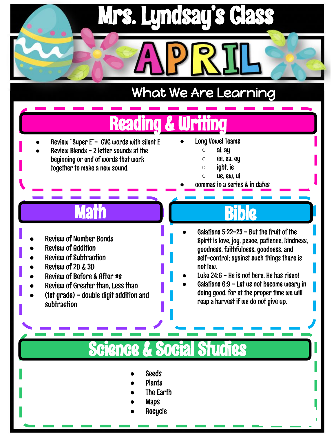